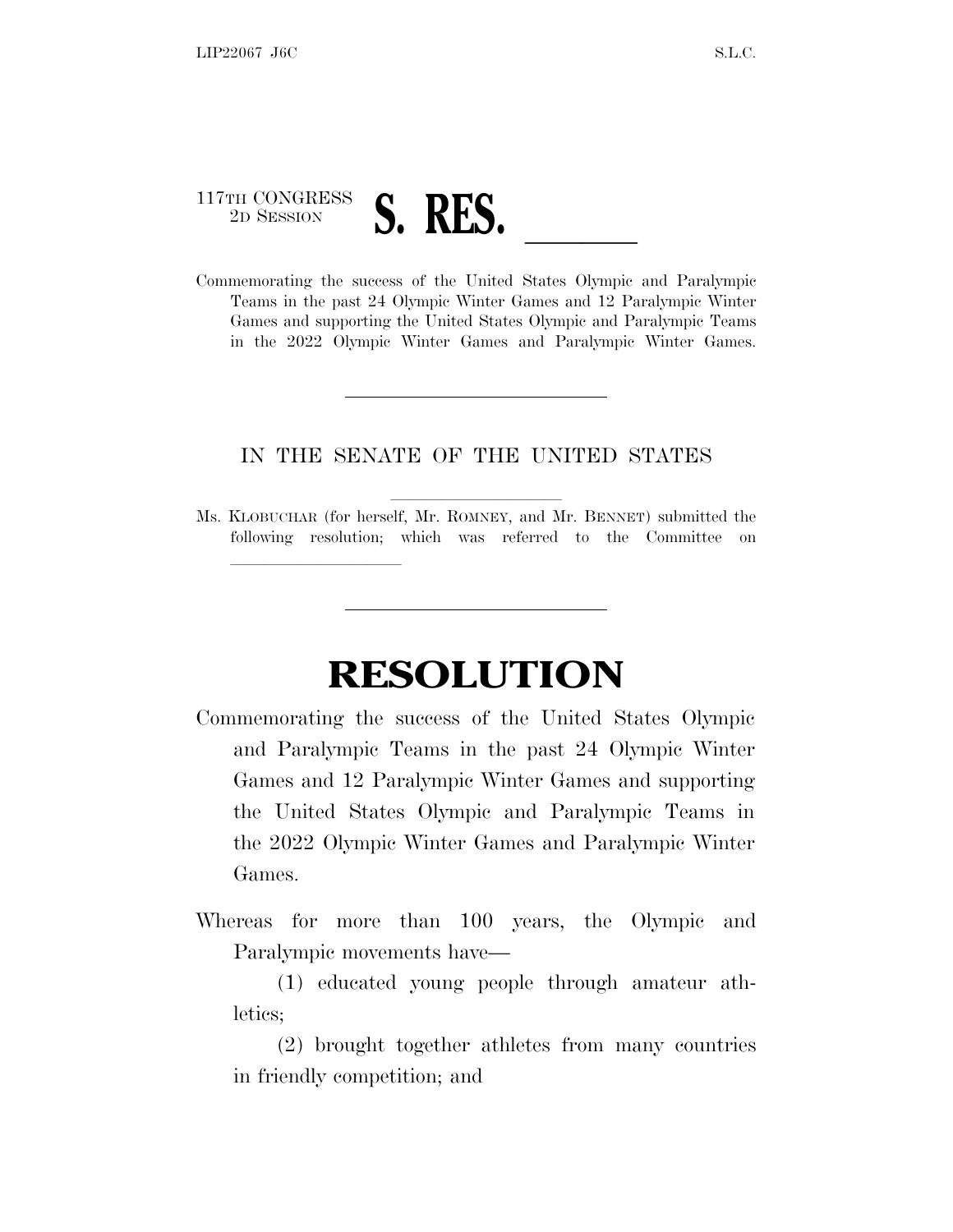## 117TH CONGRESS <sup>117TH CONGRESS</sup><br>Commemorating the success of the United States Olympic and Paralympic

lland and a state of the state of the state of the state of the state of the state of the state of the state o

Teams in the past 24 Olympic Winter Games and 12 Paralympic Winter Games and supporting the United States Olympic and Paralympic Teams in the 2022 Olympic Winter Games and Paralympic Winter Games.

## IN THE SENATE OF THE UNITED STATES

Ms. KLOBUCHAR (for herself, Mr. ROMNEY, and Mr. BENNET) submitted the following resolution; which was referred to the Committee on

## **RESOLUTION**

- Commemorating the success of the United States Olympic and Paralympic Teams in the past 24 Olympic Winter Games and 12 Paralympic Winter Games and supporting the United States Olympic and Paralympic Teams in the 2022 Olympic Winter Games and Paralympic Winter Games.
- Whereas for more than 100 years, the Olympic and Paralympic movements have—
	- (1) educated young people through amateur athletics;
	- (2) brought together athletes from many countries in friendly competition; and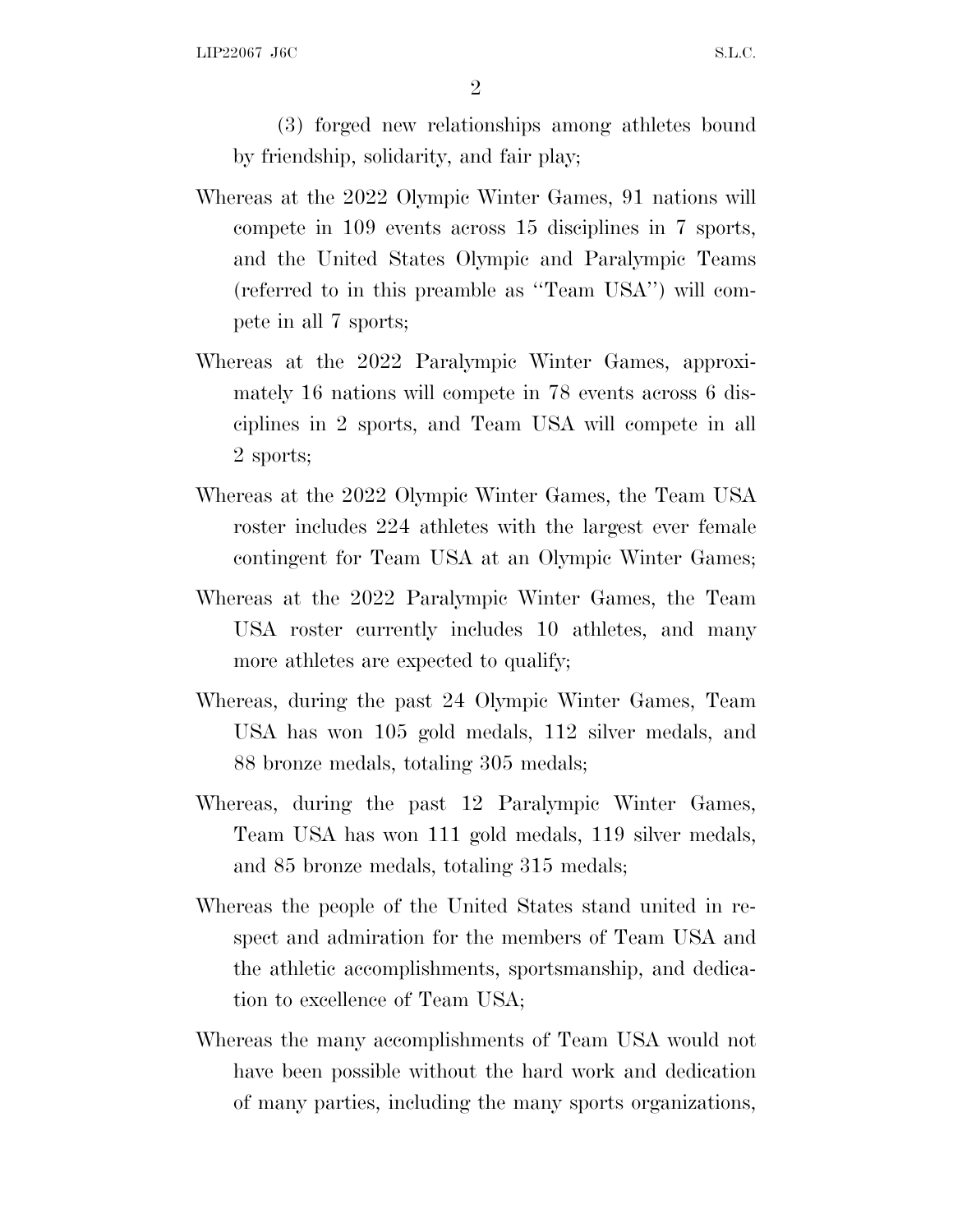2

(3) forged new relationships among athletes bound by friendship, solidarity, and fair play;

- Whereas at the 2022 Olympic Winter Games, 91 nations will compete in 109 events across 15 disciplines in 7 sports, and the United States Olympic and Paralympic Teams (referred to in this preamble as ''Team USA'') will compete in all 7 sports;
- Whereas at the 2022 Paralympic Winter Games, approximately 16 nations will compete in 78 events across 6 disciplines in 2 sports, and Team USA will compete in all 2 sports;
- Whereas at the 2022 Olympic Winter Games, the Team USA roster includes 224 athletes with the largest ever female contingent for Team USA at an Olympic Winter Games;
- Whereas at the 2022 Paralympic Winter Games, the Team USA roster currently includes 10 athletes, and many more athletes are expected to qualify;
- Whereas, during the past 24 Olympic Winter Games, Team USA has won 105 gold medals, 112 silver medals, and 88 bronze medals, totaling 305 medals;
- Whereas, during the past 12 Paralympic Winter Games, Team USA has won 111 gold medals, 119 silver medals, and 85 bronze medals, totaling 315 medals;
- Whereas the people of the United States stand united in respect and admiration for the members of Team USA and the athletic accomplishments, sportsmanship, and dedication to excellence of Team USA;
- Whereas the many accomplishments of Team USA would not have been possible without the hard work and dedication of many parties, including the many sports organizations,